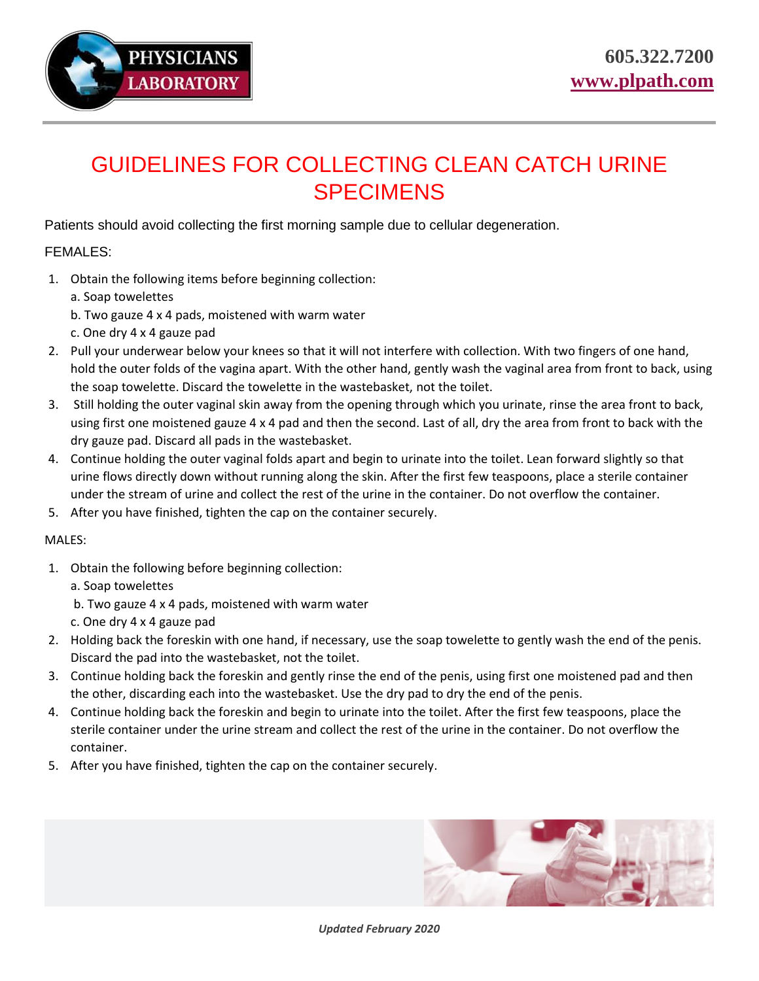

## GUIDELINES FOR COLLECTING CLEAN CATCH URINE SPECIMENS

Patients should avoid collecting the first morning sample due to cellular degeneration.

## FEMALES:

- 1. Obtain the following items before beginning collection:
	- a. Soap towelettes
	- b. Two gauze 4 x 4 pads, moistened with warm water
	- c. One dry 4 x 4 gauze pad
- 2. Pull your underwear below your knees so that it will not interfere with collection. With two fingers of one hand, hold the outer folds of the vagina apart. With the other hand, gently wash the vaginal area from front to back, using the soap towelette. Discard the towelette in the wastebasket, not the toilet.
- 3. Still holding the outer vaginal skin away from the opening through which you urinate, rinse the area front to back, using first one moistened gauze 4 x 4 pad and then the second. Last of all, dry the area from front to back with the dry gauze pad. Discard all pads in the wastebasket.
- 4. Continue holding the outer vaginal folds apart and begin to urinate into the toilet. Lean forward slightly so that urine flows directly down without running along the skin. After the first few teaspoons, place a sterile container under the stream of urine and collect the rest of the urine in the container. Do not overflow the container.
- 5. After you have finished, tighten the cap on the container securely.

## MALES:

1. Obtain the following before beginning collection:

a. Soap towelettes

- b. Two gauze 4 x 4 pads, moistened with warm water
- c. One dry 4 x 4 gauze pad
- 2. Holding back the foreskin with one hand, if necessary, use the soap towelette to gently wash the end of the penis. Discard the pad into the wastebasket, not the toilet.
- 3. Continue holding back the foreskin and gently rinse the end of the penis, using first one moistened pad and then the other, discarding each into the wastebasket. Use the dry pad to dry the end of the penis.
- 4. Continue holding back the foreskin and begin to urinate into the toilet. After the first few teaspoons, place the sterile container under the urine stream and collect the rest of the urine in the container. Do not overflow the container.
- 5. After you have finished, tighten the cap on the container securely.



*Updated February 2020*